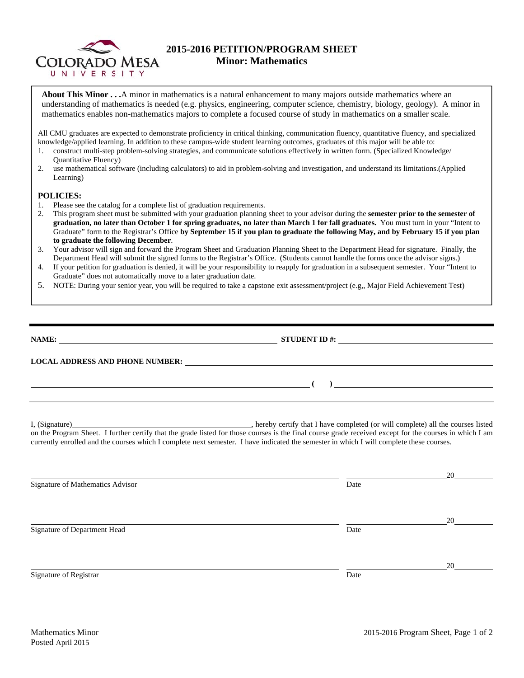

## **2015-2016 PETITION/PROGRAM SHEET Minor: Mathematics**

**About This Minor . . .**A minor in mathematics is a natural enhancement to many majors outside mathematics where an understanding of mathematics is needed (e.g. physics, engineering, computer science, chemistry, biology, geology). A minor in mathematics enables non-mathematics majors to complete a focused course of study in mathematics on a smaller scale.

All CMU graduates are expected to demonstrate proficiency in critical thinking, communication fluency, quantitative fluency, and specialized knowledge/applied learning. In addition to these campus-wide student learning outcomes, graduates of this major will be able to:

- 1. construct multi-step problem-solving strategies, and communicate solutions effectively in written form. (Specialized Knowledge/ Quantitative Fluency)
- 2. use mathematical software (including calculators) to aid in problem-solving and investigation, and understand its limitations.(Applied Learning)

## **POLICIES:**

- 1. Please see the catalog for a complete list of graduation requirements.
- 2. This program sheet must be submitted with your graduation planning sheet to your advisor during the **semester prior to the semester of graduation, no later than October 1 for spring graduates, no later than March 1 for fall graduates.** You must turn in your "Intent to Graduate" form to the Registrar's Office **by September 15 if you plan to graduate the following May, and by February 15 if you plan to graduate the following December**.
- 3. Your advisor will sign and forward the Program Sheet and Graduation Planning Sheet to the Department Head for signature. Finally, the Department Head will submit the signed forms to the Registrar's Office. (Students cannot handle the forms once the advisor signs.)
- 4. If your petition for graduation is denied, it will be your responsibility to reapply for graduation in a subsequent semester. Your "Intent to Graduate" does not automatically move to a later graduation date.
- 5. NOTE: During your senior year, you will be required to take a capstone exit assessment/project (e.g,, Major Field Achievement Test)

| <b>NAME:</b><br><u> 1989 - Johann Stoff, deutscher Stoff, der Stoff, der Stoff, der Stoff, der Stoff, der Stoff, der Stoff, der S</u> | <b>STUDENT ID #:</b><br><u> 1980 - Jan Samuel Barbara, margaret e populazion del control del control del control del control de la provi</u> |
|---------------------------------------------------------------------------------------------------------------------------------------|----------------------------------------------------------------------------------------------------------------------------------------------|
|                                                                                                                                       |                                                                                                                                              |
| <u> 1989 - Andrea Stationen, Amerikaansk politiker (</u>                                                                              |                                                                                                                                              |

I, (Signature) , hereby certify that I have completed (or will complete) all the courses listed on the Program Sheet. I further certify that the grade listed for those courses is the final course grade received except for the courses in which I am currently enrolled and the courses which I complete next semester. I have indicated the semester in which I will complete these courses.

|                                  |      | 20 |
|----------------------------------|------|----|
| Signature of Mathematics Advisor | Date |    |
|                                  |      |    |
|                                  |      |    |
|                                  |      | 20 |
| Signature of Department Head     | Date |    |
|                                  |      |    |
|                                  |      |    |
|                                  |      | 20 |
| Signature of Registrar           | Date |    |
|                                  |      |    |